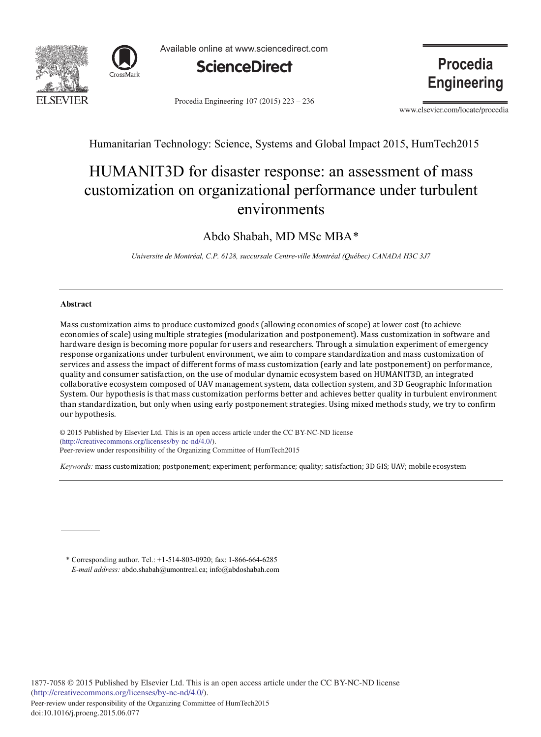



Available online at www.sciencedirect.com



Procedia Engineering 107 (2015) 223 - 236

**Procedia Engineering** 

www.elsevier.com/locate/procedia

Humanitarian Technology: Science, Systems and Global Impact 2015, HumTech2015

# HUMANIT3D for disaster response: an assessment of mass customization on organizational performance under turbulent environments

### Abdo Shabah, MD MSc MBA\*

*Universite de Montréal, C.P. 6128, succursale Centre-ville Montréal (Québec) CANADA H3C 3J7*

#### **Abstract**

Mass customization aims to produce customized goods (allowing economies of scope) at lower cost (to achieve economies of scale) using multiple strategies (modularization and postponement). Mass customization in software and hardware design is becoming more popular for users and researchers. Through a simulation experiment of emergency response organizations under turbulent environment, we aim to compare standardization and mass customization of services and assess the impact of different forms of mass customization (early and late postponement) on performance, quality and consumer satisfaction, on the use of modular dynamic ecosystem based on HUMANIT3D, an integrated collaborative ecosystem composed of UAV management system, data collection system, and 3D Geographic Information System. Our hypothesis is that mass customization performs better and achieves better quality in turbulent environment than standardization, but only when using early postponement strategies. Using mixed methods study, we try to confirm our hypothesis.

© 2015 Published by Elsevier Ltd. This is an open access article under the CC BY-NC-ND license Peer-review under responsibility of the Organizing Committee of HumTech2015. Peer-review under responsibility of the Organizing Committee of HumTech2015(http://creativecommons.org/licenses/by-nc-nd/4.0/).

*Keywords:* mass customization; postponement; experiment; performance; quality; satisfaction; 3D GIS; UAV; mobile ecosystem

\* Corresponding author. Tel.: +1-514-803-0920; fax: 1-866-664-6285 *E-mail address:* abdo.shabah@umontreal.ca; info@abdoshabah.com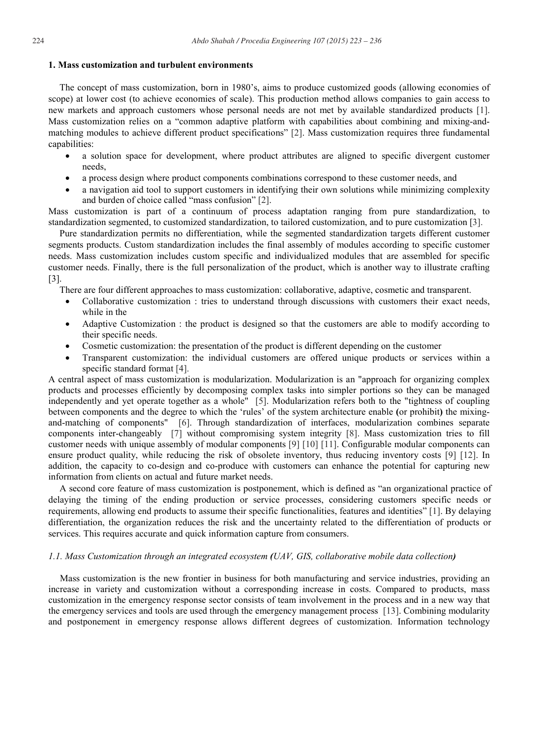#### **1. Mass customization and turbulent environments**

The concept of mass customization, born in 1980's, aims to produce customized goods (allowing economies of scope) at lower cost (to achieve economies of scale). This production method allows companies to gain access to new markets and approach customers whose personal needs are not met by available standardized products [1]. Mass customization relies on a "common adaptive platform with capabilities about combining and mixing-andmatching modules to achieve different product specifications" [2]. Mass customization requires three fundamental capabilities:

- a solution space for development, where product attributes are aligned to specific divergent customer needs,
- a process design where product components combinations correspond to these customer needs, and
- x a navigation aid tool to support customers in identifying their own solutions while minimizing complexity and burden of choice called "mass confusion" [2].

Mass customization is part of a continuum of process adaptation ranging from pure standardization, to standardization segmented, to customized standardization, to tailored customization, and to pure customization [3].

Pure standardization permits no differentiation, while the segmented standardization targets different customer segments products. Custom standardization includes the final assembly of modules according to specific customer needs. Mass customization includes custom specific and individualized modules that are assembled for specific customer needs. Finally, there is the full personalization of the product, which is another way to illustrate crafting [3].

There are four different approaches to mass customization: collaborative, adaptive, cosmetic and transparent.

- Collaborative customization : tries to understand through discussions with customers their exact needs, while in the
- Adaptive Customization : the product is designed so that the customers are able to modify according to their specific needs.
- Cosmetic customization: the presentation of the product is different depending on the customer
- x Transparent customization: the individual customers are offered unique products or services within a specific standard format [4].

A central aspect of mass customization is modularization. Modularization is an "approach for organizing complex products and processes efficiently by decomposing complex tasks into simpler portions so they can be managed independently and yet operate together as a whole" [5]. Modularization refers both to the "tightness of coupling between components and the degree to which the 'rules' of the system architecture enable **(**or prohibit**)** the mixingand-matching of components" [6]. Through standardization of interfaces, modularization combines separate components inter-changeably [7] without compromising system integrity [8]. Mass customization tries to fill customer needs with unique assembly of modular components [9] [10] [11]. Configurable modular components can ensure product quality, while reducing the risk of obsolete inventory, thus reducing inventory costs [9] [12]. In addition, the capacity to co-design and co-produce with customers can enhance the potential for capturing new information from clients on actual and future market needs.

A second core feature of mass customization is postponement, which is defined as "an organizational practice of delaying the timing of the ending production or service processes, considering customers specific needs or requirements, allowing end products to assume their specific functionalities, features and identities" [1]. By delaying differentiation, the organization reduces the risk and the uncertainty related to the differentiation of products or services. This requires accurate and quick information capture from consumers.

### *1.1. Mass Customization through an integrated ecosystem (UAV, GIS, collaborative mobile data collection)*

Mass customization is the new frontier in business for both manufacturing and service industries, providing an increase in variety and customization without a corresponding increase in costs. Compared to products, mass customization in the emergency response sector consists of team involvement in the process and in a new way that the emergency services and tools are used through the emergency management process [13]. Combining modularity and postponement in emergency response allows different degrees of customization. Information technology